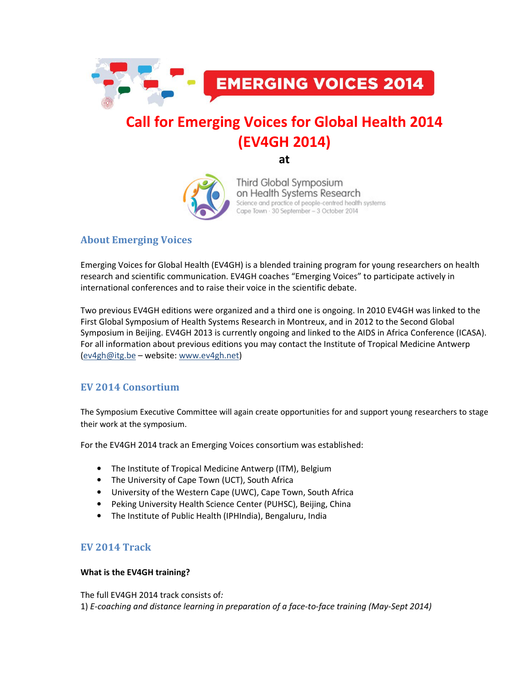

# Call for Emerging Voices for Global Health 2014 (EV4GH 2014)

at



Third Global Symposium on Health Systems Research Science and practice of people-centred health systems Cape Town · 30 September - 3 October 2014

# About Emerging Voices

Emerging Voices for Global Health (EV4GH) is a blended training program for young researchers on health research and scientific communication. EV4GH coaches "Emerging Voices" to participate actively in international conferences and to raise their voice in the scientific debate.

Two previous EV4GH editions were organized and a third one is ongoing. In 2010 EV4GH was linked to the First Global Symposium of Health Systems Research in Montreux, and in 2012 to the Second Global Symposium in Beijing. EV4GH 2013 is currently ongoing and linked to the AIDS in Africa Conference (ICASA). For all information about previous editions you may contact the Institute of Tropical Medicine Antwerp (ev4gh@itg.be – website: www.ev4gh.net)

## EV 2014 Consortium

The Symposium Executive Committee will again create opportunities for and support young researchers to stage their work at the symposium.

For the EV4GH 2014 track an Emerging Voices consortium was established:

- The Institute of Tropical Medicine Antwerp (ITM), Belgium
- The University of Cape Town (UCT), South Africa
- University of the Western Cape (UWC), Cape Town, South Africa
- Peking University Health Science Center (PUHSC), Beijing, China
- The Institute of Public Health (IPHIndia), Bengaluru, India

## EV 2014 Track

## What is the EV4GH training?

The full EV4GH 2014 track consists of: 1) E-coaching and distance learning in preparation of a face-to-face training (May-Sept 2014)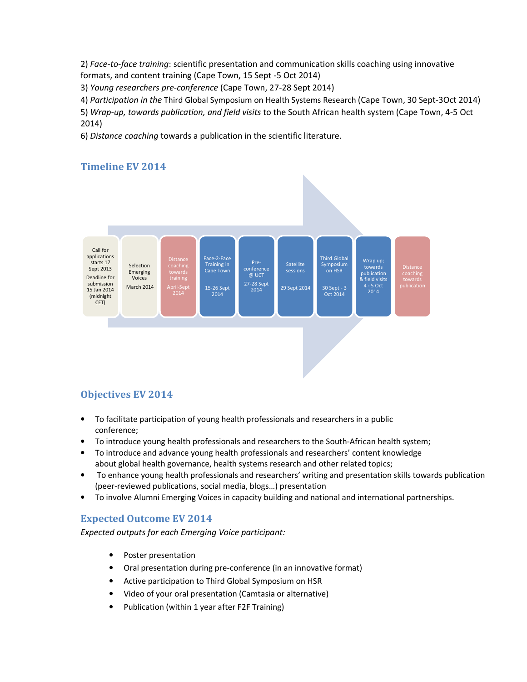2) Face-to-face training: scientific presentation and communication skills coaching using innovative formats, and content training (Cape Town, 15 Sept -5 Oct 2014)

3) Young researchers pre-conference (Cape Town, 27-28 Sept 2014)

4) Participation in the Third Global Symposium on Health Systems Research (Cape Town, 30 Sept-3Oct 2014)

5) Wrap-up, towards publication, and field visits to the South African health system (Cape Town, 4-5 Oct 2014)

6) Distance coaching towards a publication in the scientific literature.

## Timeline EV 2014



# Objectives EV 2014

- To facilitate participation of young health professionals and researchers in a public conference;
- To introduce young health professionals and researchers to the South-African health system;
- To introduce and advance young health professionals and researchers' content knowledge about global health governance, health systems research and other related topics;
- To enhance young health professionals and researchers' writing and presentation skills towards publication (peer-reviewed publications, social media, blogs…) presentation
- To involve Alumni Emerging Voices in capacity building and national and international partnerships.

# Expected Outcome EV 2014

Expected outputs for each Emerging Voice participant:

- Poster presentation
- Oral presentation during pre-conference (in an innovative format)
- Active participation to Third Global Symposium on HSR
- Video of your oral presentation (Camtasia or alternative)
- Publication (within 1 year after F2F Training)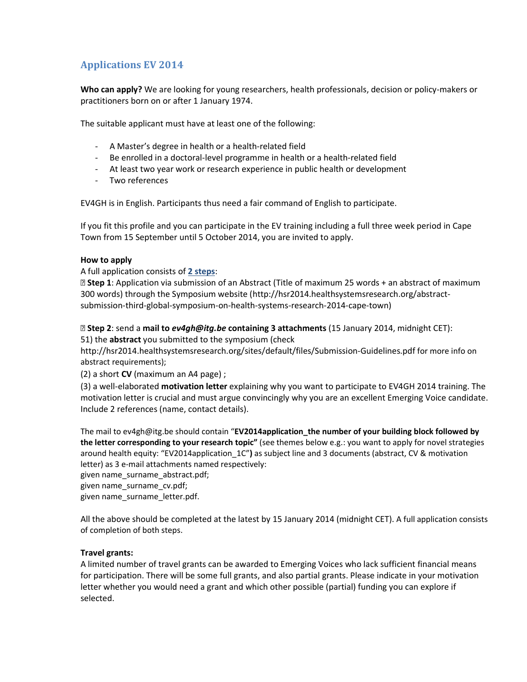# Applications EV 2014

Who can apply? We are looking for young researchers, health professionals, decision or policy-makers or practitioners born on or after 1 January 1974.

The suitable applicant must have at least one of the following:

- A Master's degree in health or a health-related field
- Be enrolled in a doctoral-level programme in health or a health-related field
- At least two year work or research experience in public health or development
- Two references

EV4GH is in English. Participants thus need a fair command of English to participate.

If you fit this profile and you can participate in the EV training including a full three week period in Cape Town from 15 September until 5 October 2014, you are invited to apply.

#### How to apply

A full application consists of 2 steps:

**D** Step 1: Application via submission of an Abstract (Title of maximum 25 words + an abstract of maximum 300 words) through the Symposium website (http://hsr2014.healthsystemsresearch.org/abstractsubmission-third-global-symposium-on-health-systems-research-2014-cape-town)

**E Step 2: send a mail to ev4gh@itg.be containing 3 attachments** (15 January 2014, midnight CET):

51) the abstract you submitted to the symposium (check

http://hsr2014.healthsystemsresearch.org/sites/default/files/Submission-Guidelines.pdf for more info on abstract requirements);

(2) a short  $CV$  (maximum an A4 page);

(3) a well-elaborated motivation letter explaining why you want to participate to EV4GH 2014 training. The motivation letter is crucial and must argue convincingly why you are an excellent Emerging Voice candidate. Include 2 references (name, contact details).

The mail to ev4gh@itg.be should contain "EV2014application\_the number of your building block followed by the letter corresponding to your research topic" (see themes below e.g.: you want to apply for novel strategies around health equity: "EV2014application\_1C") as subject line and 3 documents (abstract, CV & motivation letter) as 3 e-mail attachments named respectively:

given name\_surname\_abstract.pdf;

given name\_surname\_cv.pdf;

given name\_surname\_letter.pdf.

All the above should be completed at the latest by 15 January 2014 (midnight CET). A full application consists of completion of both steps.

## Travel grants:

A limited number of travel grants can be awarded to Emerging Voices who lack sufficient financial means for participation. There will be some full grants, and also partial grants. Please indicate in your motivation letter whether you would need a grant and which other possible (partial) funding you can explore if selected.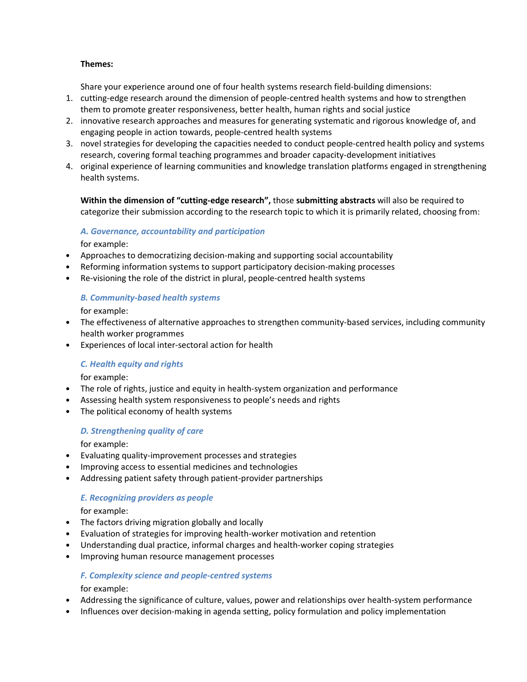#### Themes:

Share your experience around one of four health systems research field-building dimensions:

- 1. cutting-edge research around the dimension of people-centred health systems and how to strengthen them to promote greater responsiveness, better health, human rights and social justice
- 2. innovative research approaches and measures for generating systematic and rigorous knowledge of, and engaging people in action towards, people-centred health systems
- 3. novel strategies for developing the capacities needed to conduct people-centred health policy and systems research, covering formal teaching programmes and broader capacity-development initiatives
- 4. original experience of learning communities and knowledge translation platforms engaged in strengthening health systems.

Within the dimension of "cutting-edge research", those submitting abstracts will also be required to categorize their submission according to the research topic to which it is primarily related, choosing from:

#### A. Governance, accountability and participation

for example:

- Approaches to democratizing decision-making and supporting social accountability
- Reforming information systems to support participatory decision-making processes
- Re-visioning the role of the district in plural, people-centred health systems

#### B. Community-based health systems

for example:

- The effectiveness of alternative approaches to strengthen community-based services, including community health worker programmes
- Experiences of local inter-sectoral action for health

#### C. Health equity and rights

for example:

- The role of rights, justice and equity in health-system organization and performance
- Assessing health system responsiveness to people's needs and rights
- The political economy of health systems

### D. Strengthening quality of care

for example:

- Evaluating quality-improvement processes and strategies
- Improving access to essential medicines and technologies
- Addressing patient safety through patient-provider partnerships

#### E. Recognizing providers as people

for example:

- The factors driving migration globally and locally
- Evaluation of strategies for improving health-worker motivation and retention
- Understanding dual practice, informal charges and health-worker coping strategies
- Improving human resource management processes

#### F. Complexity science and people-centred systems

for example:

- Addressing the significance of culture, values, power and relationships over health-system performance
- Influences over decision-making in agenda setting, policy formulation and policy implementation